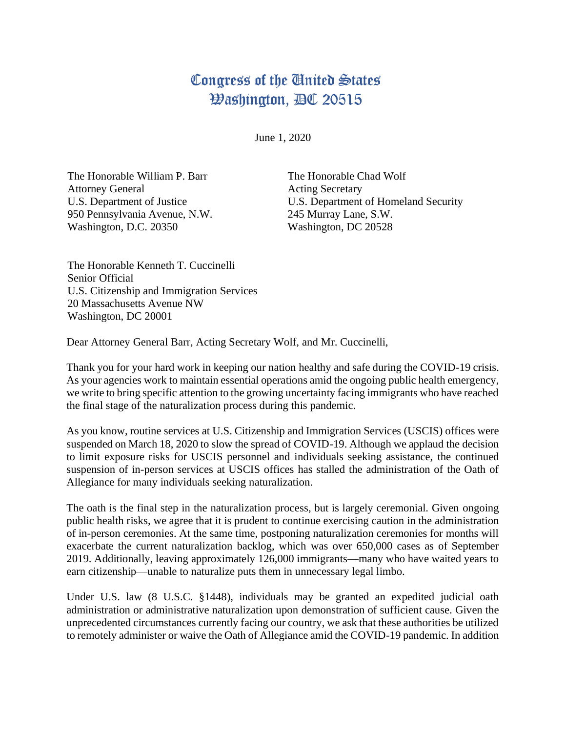## Congress of the United States **Washington, AC 20515**

June 1, 2020

The Honorable William P. Barr Attorney General U.S. Department of Justice 950 Pennsylvania Avenue, N.W. Washington, D.C. 20350

The Honorable Chad Wolf Acting Secretary U.S. Department of Homeland Security 245 Murray Lane, S.W. Washington, DC 20528

The Honorable Kenneth T. Cuccinelli Senior Official U.S. Citizenship and Immigration Services 20 Massachusetts Avenue NW Washington, DC 20001

Dear Attorney General Barr, Acting Secretary Wolf, and Mr. Cuccinelli,

Thank you for your hard work in keeping our nation healthy and safe during the COVID-19 crisis. As your agencies work to maintain essential operations amid the ongoing public health emergency, we write to bring specific attention to the growing uncertainty facing immigrants who have reached the final stage of the naturalization process during this pandemic.

As you know, routine services at U.S. Citizenship and Immigration Services (USCIS) offices were suspended on March 18, 2020 to slow the spread of COVID-19. Although we applaud the decision to limit exposure risks for USCIS personnel and individuals seeking assistance, the continued suspension of in-person services at USCIS offices has stalled the administration of the Oath of Allegiance for many individuals seeking naturalization.

The oath is the final step in the naturalization process, but is largely ceremonial. Given ongoing public health risks, we agree that it is prudent to continue exercising caution in the administration of in-person ceremonies. At the same time, postponing naturalization ceremonies for months will exacerbate the current naturalization backlog, which was over 650,000 cases as of September 2019. Additionally, leaving approximately 126,000 immigrants—many who have waited years to earn citizenship—unable to naturalize puts them in unnecessary legal limbo.

Under U.S. law (8 U.S.C. §1448), individuals may be granted an expedited judicial oath administration or administrative naturalization upon demonstration of sufficient cause. Given the unprecedented circumstances currently facing our country, we ask that these authorities be utilized to remotely administer or waive the Oath of Allegiance amid the COVID-19 pandemic. In addition